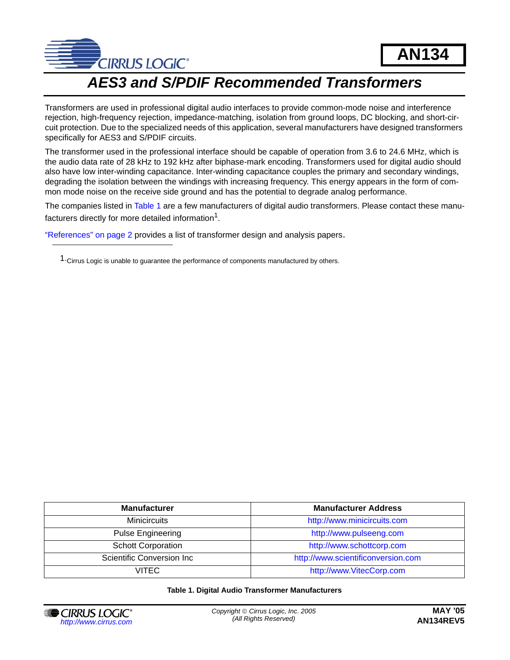

# *AES3 and S/PDIF Recommended Transformers*

Transformers are used in professional digital audio interfaces to provide common-mode noise and interference rejection, high-frequency rejection, impedance-matching, isolation from ground loops, DC blocking, and short-circuit protection. Due to the specialized needs of this application, several manufacturers have designed transformers specifically for AES3 and S/PDIF circuits.

The transformer used in the professional interface should be capable of operation from 3.6 to 24.6 MHz, which is the audio data rate of 28 kHz to 192 kHz after biphase-mark encoding. Transformers used for digital audio should also have low inter-winding capacitance. Inter-winding capacitance couples the primary and secondary windings, degrading the isolation between the windings with increasing frequency. This energy appears in the form of common mode noise on the receive side ground and has the potential to degrade analog performance.

The companies listed in [Table 1](#page-0-0) are a few manufacturers of digital audio transformers. Please contact these manufacturers directly for more detailed information<sup>1</sup>.

"References" on page 2 provides a list of transformer design and analysis papers.

1.Cirrus Logic is unable to guarantee the performance of components manufactured by others.

| <b>Manufacturer</b>       | <b>Manufacturer Address</b>        |
|---------------------------|------------------------------------|
| <b>Minicircuits</b>       | http://www.minicircuits.com        |
| <b>Pulse Engineering</b>  | http://www.pulseeng.com            |
| <b>Schott Corporation</b> | http://www.schottcorp.com          |
| Scientific Conversion Inc | http://www.scientificonversion.com |
| VITFC.                    | http://www.VitecCorp.com           |

#### **Table 1. Digital Audio Transformer Manufacturers**

<span id="page-0-0"></span>